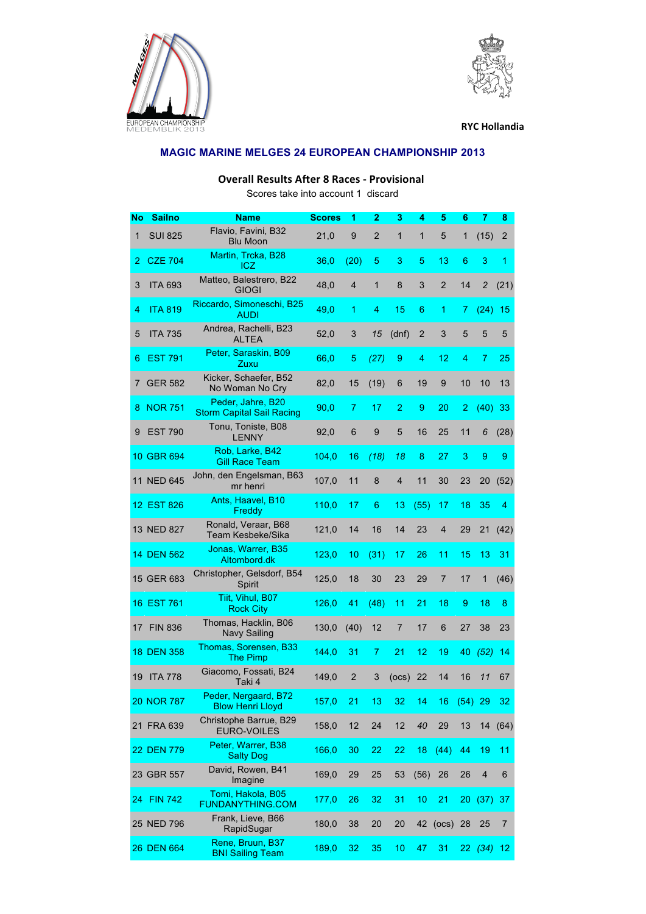



**RYC Hollandia** 

## **MAGIC MARINE MELGES 24 EUROPEAN CHAMPIONSHIP 2013**

## **Overall Results After 8 Races - Provisional**

Scores take into account 1 discard

| <b>No</b>   | <b>Sailno</b>  | <b>Name</b>                                           | <b>Scores</b> | 1              | 2            | 3              | 4              | 5              | 6         | 7              | 8               |
|-------------|----------------|-------------------------------------------------------|---------------|----------------|--------------|----------------|----------------|----------------|-----------|----------------|-----------------|
| $\mathbf 1$ | <b>SUI 825</b> | Flavio, Favini, B32<br><b>Blu Moon</b>                | 21,0          | 9              | 2            | $\mathbf{1}$   | 1              | 5              | 1         | (15)           | $\overline{2}$  |
| 2           | <b>CZE 704</b> | Martin, Trcka, B28<br>ICZ                             | 36,0          | (20)           | 5            | 3              | 5              | 13             | 6         | 3              | 1               |
| 3           | <b>ITA 693</b> | Matteo, Balestrero, B22<br><b>GIOGI</b>               | 48,0          | $\overline{4}$ | $\mathbf{1}$ | 8              | 3              | $\overline{2}$ | 14        | 2              | (21)            |
| 4           | <b>ITA 819</b> | Riccardo, Simoneschi, B25<br><b>AUDI</b>              | 49,0          | 1              | 4            | 15             | 6              | 1              | 7         | (24)           | 15              |
| 5           | <b>ITA 735</b> | Andrea, Rachelli, B23<br><b>ALTEA</b>                 | 52,0          | 3              | 15           | (dnf)          | $\overline{2}$ | 3              | 5         | 5              | 5               |
| 6           | <b>EST 791</b> | Peter, Saraskin, B09<br>Zuxu                          | 66,0          | 5              | (27)         | 9              | 4              | 12             | 4         | 7              | 25              |
| 7           | <b>GER 582</b> | Kicker, Schaefer, B52<br>No Woman No Cry              | 82,0          | 15             | (19)         | 6              | 19             | 9              | 10        | 10             | 13              |
| 8           | <b>NOR 751</b> | Peder, Jahre, B20<br><b>Storm Capital Sail Racing</b> | 90,0          | 7              | 17           | $\overline{2}$ | 9              | 20             | 2         | (40)           | 33              |
| 9           | <b>EST 790</b> | Tonu, Toniste, B08<br><b>LENNY</b>                    | 92,0          | 6              | 9            | 5              | 16             | 25             | 11        | 6              | (28)            |
|             | 10 GBR 694     | Rob, Larke, B42<br><b>Gill Race Team</b>              | 104,0         | 16             | (18)         | 18             | 8              | 27             | 3         | 9              | 9               |
|             | 11 NED 645     | John, den Engelsman, B63<br>mr henri                  | 107,0         | 11             | 8            | 4              | 11             | 30             | 23        | 20             | (52)            |
|             | 12 EST 826     | Ants, Haavel, B10<br>Freddy                           | 110,0         | 17             | 6            | 13             | (55)           | 17             | 18        | 35             | 4               |
|             | 13 NED 827     | Ronald, Veraar, B68<br>Team Kesbeke/Sika              | 121,0         | 14             | 16           | 14             | 23             | 4              | 29        | 21             | (42)            |
|             | 14 DEN 562     | Jonas, Warrer, B35<br>Altombord.dk                    | 123,0         | 10             | (31)         | 17             | 26             | 11             | 15        | 13             | 31              |
|             | 15 GER 683     | Christopher, Gelsdorf, B54<br>Spirit                  | 125,0         | 18             | 30           | 23             | 29             | $\overline{7}$ | 17        | 1              | (46)            |
|             | 16 EST 761     | Tiit, Vihul, B07<br><b>Rock City</b>                  | 126,0         | 41             | (48)         | 11             | 21             | 18             | 9         | 18             | 8               |
|             | 17 FIN 836     | Thomas, Hacklin, B06<br><b>Navy Sailing</b>           | 130,0         | (40)           | 12           | 7              | 17             | 6              | 27        | 38             | 23              |
|             | 18 DEN 358     | Thomas, Sorensen, B33<br><b>The Pimp</b>              | 144,0         | 31             | 7            | 21             | 12             | 19             | 40        | (52)           | 14              |
| 19          | <b>ITA 778</b> | Giacomo, Fossati, B24<br>Taki 4                       | 149,0         | 2              | 3            | (ocs)          | 22             | 14             | 16        | 11             | 67              |
|             | 20 NOR 787     | Peder, Nergaard, B72<br><b>Blow Henri Lloyd</b>       | 157,0         | 21             | 13           | 32             | 14             | 16             | $(54)$ 29 |                | 32              |
|             | 21 FRA 639     | Christophe Barrue, B29<br><b>EURO-VOILES</b>          | 158,0         | 12             | 24           | 12             | 40             | 29             | 13        |                | 14(64)          |
|             | 22 DEN 779     | Peter, Warrer, B38<br><b>Salty Dog</b>                | 166,0         | 30             | 22           | 22             | 18             | (44)           | 44        | 19             | 11              |
|             | 23 GBR 557     | David, Rowen, B41<br>Imagine                          | 169,0         | 29             | 25           | 53             | (56)           | 26             | 26        | $\overline{4}$ | 6               |
|             | 24 FIN 742     | Tomi, Hakola, B05<br><b>FUNDANYTHING.COM</b>          | 177,0         | 26             | 32           | 31             | 10             | 21             |           | 20(37)         | 37              |
|             | 25 NED 796     | Frank, Lieve, B66<br>RapidSugar                       | 180,0         | 38             | 20           | 20             | 42             | (ocs) 28       |           | 25             | $\overline{7}$  |
|             | 26 DEN 664     | Rene, Bruun, B37<br><b>BNI Sailing Team</b>           | 189,0         | 32             | 35           | 10             | 47             | 31             |           | 22(34)         | 12 <sub>2</sub> |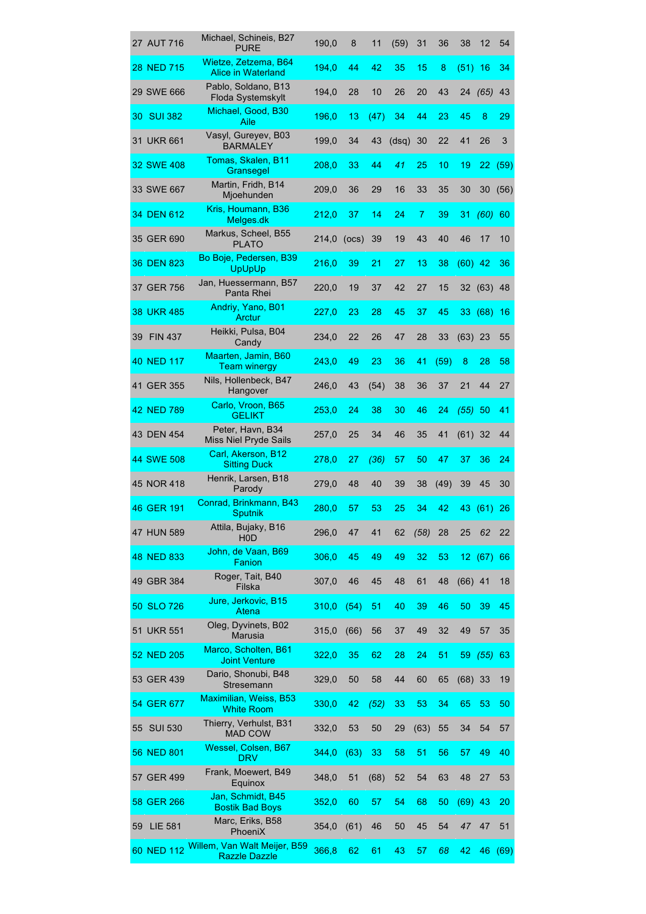|    | 27 AUT 716     | Michael, Schineis, B27<br><b>PURE</b>                | 190,0 | 8     | 11   | (59)  | 31             | 36   | 38        | 12         | 54   |
|----|----------------|------------------------------------------------------|-------|-------|------|-------|----------------|------|-----------|------------|------|
|    | 28 NED 715     | Wietze, Zetzema, B64<br><b>Alice in Waterland</b>    | 194,0 | 44    | 42   | 35    | 15             | 8    | (51)      | -16        | 34   |
|    | 29 SWE 666     | Pablo, Soldano, B13<br>Floda Systemskylt             | 194,0 | 28    | 10   | 26    | 20             | 43   | 24        | (65)       | 43   |
| 30 | <b>SUI 382</b> | Michael, Good, B30<br>Aile                           | 196,0 | 13    | (47) | 34    | 44             | 23   | 45        | 8          | 29   |
|    | 31 UKR 661     | Vasyl, Gureyev, B03<br><b>BARMALEY</b>               | 199,0 | 34    | 43   | (dsq) | 30             | 22   | 41        | 26         | 3    |
|    | 32 SWE 408     | Tomas, Skalen, B11<br>Gransegel                      | 208,0 | 33    | 44   | 41    | 25             | 10   | 19        | 22         | (59) |
|    | 33 SWE 667     | Martin, Fridh, B14<br>Mjoehunden                     | 209,0 | 36    | 29   | 16    | 33             | 35   | 30        | 30         | (56) |
|    | 34 DEN 612     | Kris, Houmann, B36<br>Melges.dk                      | 212,0 | 37    | 14   | 24    | $\overline{7}$ | 39   | 31        | $(60)$ 60  |      |
|    | 35 GER 690     | Markus, Scheel, B55<br><b>PLATO</b>                  | 214,0 | (ocs) | 39   | 19    | 43             | 40   | 46        | 17         | 10   |
|    | 36 DEN 823     | Bo Boje, Pedersen, B39<br><b>UpUpUp</b>              | 216,0 | 39    | 21   | 27    | 13             | 38   | (60)      | -42        | 36   |
|    | 37 GER 756     | Jan, Huessermann, B57<br>Panta Rhei                  | 220,0 | 19    | 37   | 42    | 27             | 15   | 32        | (63)       | 48   |
|    | 38 UKR 485     | Andriy, Yano, B01<br>Arctur                          | 227,0 | 23    | 28   | 45    | 37             | 45   |           | 33 (68) 16 |      |
| 39 | <b>FIN 437</b> | Heikki, Pulsa, B04<br>Candy                          | 234,0 | 22    | 26   | 47    | 28             | 33   | $(63)$ 23 |            | 55   |
|    | 40 NED 117     | Maarten, Jamin, B60<br><b>Team winergy</b>           | 243,0 | 49    | 23   | 36    | 41             | (59) | 8         | 28         | 58   |
|    | 41 GER 355     | Nils, Hollenbeck, B47<br>Hangover                    | 246,0 | 43    | (54) | 38    | 36             | 37   | 21        | 44         | 27   |
|    | 42 NED 789     | Carlo, Vroon, B65<br><b>GELIKT</b>                   | 253,0 | 24    | 38   | 30    | 46             | 24   | (55)      | 50         | 41   |
|    | 43 DEN 454     | Peter, Havn, B34<br>Miss Niel Pryde Sails            | 257,0 | 25    | 34   | 46    | 35             | 41   | $(61)$ 32 |            | 44   |
|    | 44 SWE 508     | Carl, Akerson, B12<br><b>Sitting Duck</b>            | 278,0 | 27    | (36) | 57    | 50             | 47   | 37        | 36         | 24   |
|    | 45 NOR 418     | Henrik, Larsen, B18<br>Parody                        | 279,0 | 48    | 40   | 39    | 38             | (49) | 39        | 45         | 30   |
|    | 46 GER 191     | Conrad, Brinkmann, B43<br><b>Sputnik</b>             | 280,0 | 57    | 53   | 25    | 34             | 42   |           | 43 (61)    | 26   |
|    | 47 HUN 589     | Attila, Bujaky, B16<br>H <sub>0</sub> D              | 296,0 | 47    | 41   | 62    | (58)           | 28   | 25        | 62         | 22   |
|    | 48 NED 833     | John, de Vaan, B69<br>Fanion                         | 306,0 | 45    | 49   | 49    | 32             | 53   |           | 12(67)     | 66   |
|    | 49 GBR 384     | Roger, Tait, B40<br>Filska                           | 307,0 | 46    | 45   | 48    | 61             | 48   | $(66)$ 41 |            | 18   |
|    | 50 SLO 726     | Jure, Jerkovic, B15<br>Atena                         | 310,0 | (54)  | 51   | 40    | 39             | 46   | 50        | 39         | 45   |
|    | 51 UKR 551     | Oleg, Dyvinets, B02<br>Marusia                       | 315,0 | (66)  | 56   | 37    | 49             | 32   | 49        | 57         | 35   |
|    | 52 NED 205     | Marco, Scholten, B61<br><b>Joint Venture</b>         | 322,0 | 35    | 62   | 28    | 24             | 51   | 59        | (55)       | 63   |
|    | 53 GER 439     | Dario, Shonubi, B48<br>Stresemann                    | 329,0 | 50    | 58   | 44    | 60             | 65   | $(68)$ 33 |            | 19   |
|    | 54 GER 677     | Maximilian, Weiss, B53<br><b>White Room</b>          | 330,0 | 42    | (52) | 33    | 53             | 34   | 65        | 53         | 50   |
| 55 | <b>SUI 530</b> | Thierry, Verhulst, B31<br><b>MAD COW</b>             | 332,0 | 53    | 50   | 29    | (63)           | 55   | 34        | 54         | 57   |
|    | 56 NED 801     | Wessel, Colsen, B67<br><b>DRV</b>                    | 344,0 | (63)  | 33   | 58    | 51             | 56   | 57        | 49         | 40   |
|    | 57 GER 499     | Frank, Moewert, B49<br>Equinox                       | 348,0 | 51    | (68) | 52    | 54             | 63   | 48        | 27         | 53   |
|    | 58 GER 266     | Jan, Schmidt, B45<br><b>Bostik Bad Boys</b>          | 352,0 | 60    | 57   | 54    | 68             | 50   | $(69)$ 43 |            | 20   |
| 59 | <b>LIE 581</b> | Marc, Eriks, B58<br>PhoeniX                          | 354,0 | (61)  | 46   | 50    | 45             | 54   | 47        | 47         | 51   |
|    | 60 NED 112     | Willem, Van Walt Meijer, B59<br><b>Razzle Dazzle</b> | 366,8 | 62    | 61   | 43    | 57             | 68   | 42        | 46         | (69) |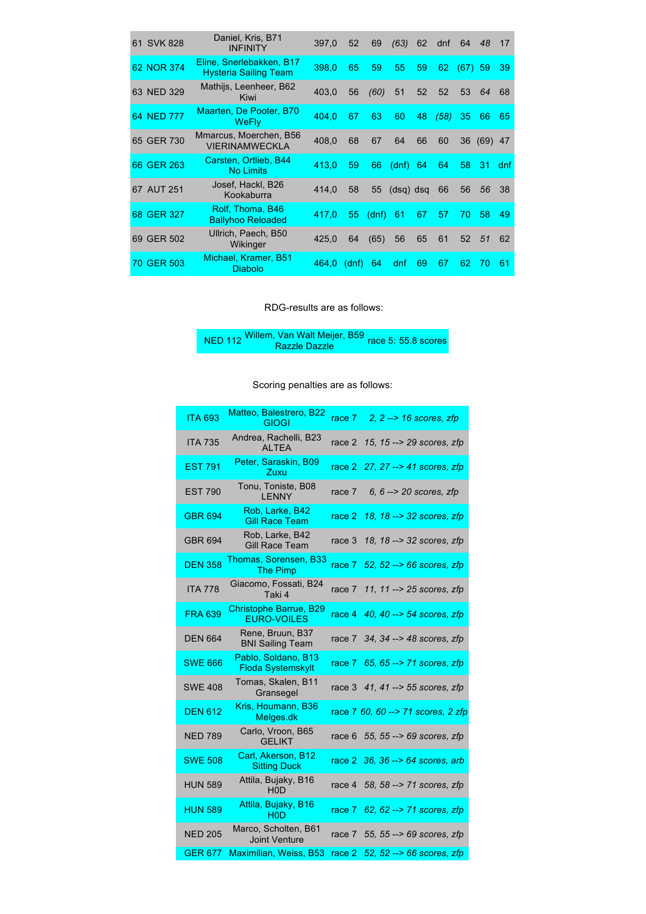| 61 SVK 828 | Daniel, Kris, B71<br><b>INFINITY</b>                     | 397,0 | 52    | 69    | (63)        | 62 | dnf  | 64        | 48        | 17   |
|------------|----------------------------------------------------------|-------|-------|-------|-------------|----|------|-----------|-----------|------|
| 62 NOR 374 | Eline, Snerlebakken, B17<br><b>Hysteria Sailing Team</b> | 398,0 | 65    | 59    | 55          | 59 | 62   | $(67)$ 59 |           | 39   |
| 63 NED 329 | Mathijs, Leenheer, B62<br>Kiwi                           | 403,0 | 56    | (60)  | 51          | 52 | 52   | 53        | 64        | 68   |
| 64 NED 777 | Maarten, De Pooter, B70<br><b>WeFly</b>                  | 404.0 | 67    | 63    | 60          | 48 | (58) | 35        | 66        | 65   |
| 65 GER 730 | Mmarcus, Moerchen, B56<br><b>VIERINAMWECKLA</b>          | 408,0 | 68    | 67    | 64          | 66 | 60   | 36        | $(69)$ 47 |      |
| 66 GER 263 | Carsten, Ortlieb, B44<br><b>No Limits</b>                | 413,0 | 59    | 66    | (dnf)       | 64 | 64   | 58        | 31        | dnf. |
| 67 AUT 251 | Josef, Hackl, B26<br>Kookaburra                          | 414,0 | 58    | 55    | $(dsq)$ dsq |    | 66   | 56        | 56        | 38   |
| 68 GER 327 | Rolf, Thoma, B46<br><b>Ballyhoo Reloaded</b>             | 417,0 | 55    | (dnf) | 61          | 67 | 57   | 70        | 58        | 49   |
| 69 GER 502 | Ullrich, Paech, B50<br>Wikinger                          | 425.0 | 64    | (65)  | 56          | 65 | 61   | 52        | 51        | 62   |
| 70 GER 503 | Michael, Kramer, B51<br><b>Diabolo</b>                   | 464.0 | (dnf) | 64    | dnf         | 69 | 67   | 62        | 70        | 61   |

RDG-results are as follows:

NED 112 Willem, Van Walt Meijer, B59 Razzle Dazzle race 5: 55.8 scores

## Scoring penalties are as follows:

| <b>ITA 693</b> | Matteo, Balestrero, B22<br>GIOGI                    | race 7 | 2, $2 \rightarrow 16$ scores, zfp   |
|----------------|-----------------------------------------------------|--------|-------------------------------------|
| <b>ITA 735</b> | Andrea, Rachelli, B23<br><b>ALTEA</b>               | race 2 | 15, 15 --> 29 scores, zfp           |
| <b>EST 791</b> | Peter, Saraskin, B09<br>Zuxu                        | race 2 | 27, 27 --> 41 scores, zfp           |
| <b>EST 790</b> | Tonu, Toniste, B08<br><b>LENNY</b>                  | race 7 | 6, $6 \rightarrow 20$ scores, zfp   |
| <b>GBR 694</b> | Rob, Larke, B42<br><b>Gill Race Team</b>            | race 2 | 18, 18 --> 32 scores, zfp           |
| GBR 694        | Rob, Larke, B42<br>Gill Race Team                   | race 3 | 18, 18 --> 32 scores, zfp           |
| <b>DFN 358</b> | Thomas, Sorensen, B33<br><b>The Pimp</b>            | race 7 | 52, $52 \rightarrow 66$ scores, zfp |
| <b>ITA 778</b> | Giacomo, Fossati, B24<br>Taki 4                     | race 7 | 11, 11 --> 25 scores, zfp           |
| <b>FRA 639</b> | <b>Christophe Barrue, B29</b><br><b>EURO-VOILES</b> | race 4 | 40, 40 --> 54 scores, zfp           |
| <b>DEN 664</b> | Rene, Bruun, B37<br><b>BNI Sailing Team</b>         | race 7 | 34, 34 --> 48 scores, zfp           |
| <b>SWE 666</b> | Pablo, Soldano, B13<br>Floda Systemskylt            |        | race 7 65, 65 --> 71 scores, zfp    |
| <b>SWE 408</b> | Tomas, Skalen, B11<br>Gransegel                     |        | race 3 41, 41 --> 55 scores, zfp    |
| <b>DEN 612</b> | Kris, Houmann, B36<br>Melges.dk                     |        | race 7 60, 60 -- > 71 scores, 2 zfp |
| <b>NED 789</b> | Carlo, Vroon, B65<br><b>GELIKT</b>                  | race 6 | 55, 55 --> 69 scores, zfp           |
| <b>SWE 508</b> | Carl, Akerson, B12<br><b>Sitting Duck</b>           |        | race 2 36, 36 --> 64 scores, arb    |
| <b>HUN 589</b> | Attila, Bujaky, B16<br>H <sub>0</sub> D             |        | race 4 58, 58 --> 71 scores, zfp    |
| <b>HUN 589</b> | Attila, Bujaky, B16<br>H <sub>0</sub> D             |        | race 7 62, 62 - > 71 scores, zfp    |
| <b>NED 205</b> | Marco, Scholten, B61<br><b>Joint Venture</b>        | race 7 | 55, 55 --> 69 scores, zfp           |
| <b>GER 677</b> | Maximilian, Weiss, B53                              | race 2 | 52, 52 --> 66 scores, zfp           |